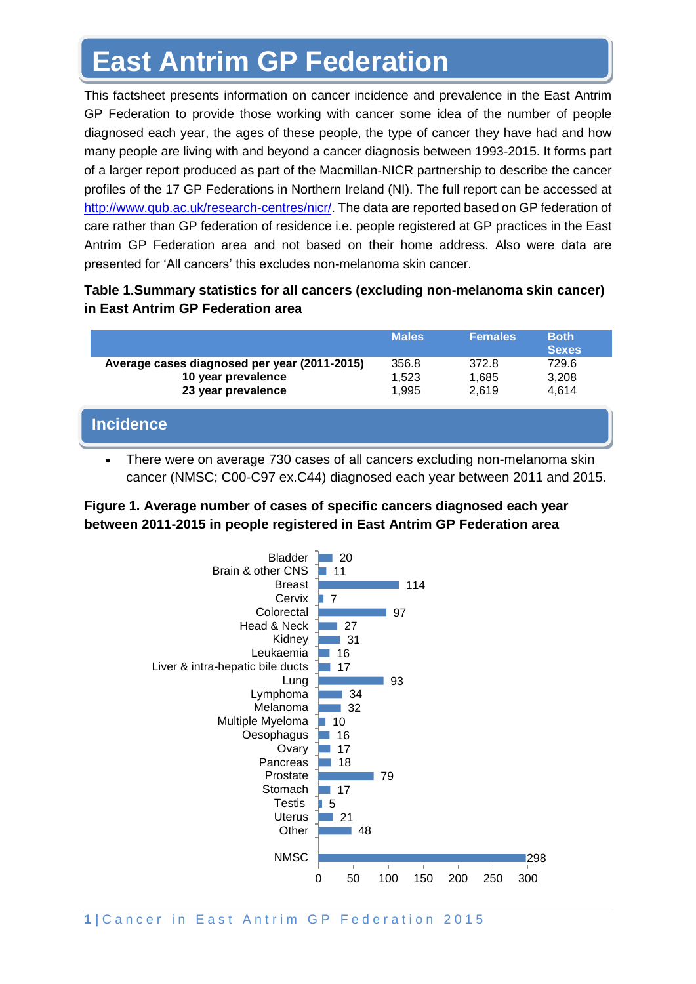# **East Antrim GP Federation**

This factsheet presents information on cancer incidence and prevalence in the East Antrim GP Federation to provide those working with cancer some idea of the number of people diagnosed each year, the ages of these people, the type of cancer they have had and how many people are living with and beyond a cancer diagnosis between 1993-2015. It forms part of a larger report produced as part of the Macmillan-NICR partnership to describe the cancer profiles of the 17 GP Federations in Northern Ireland (NI). The full report can be accessed at [http://www.qub.ac.uk/research-centres/nicr/.](http://www.qub.ac.uk/research-centres/nicr/) The data are reported based on GP federation of care rather than GP federation of residence i.e. people registered at GP practices in the East Antrim GP Federation area and not based on their home address. Also were data are presented for 'All cancers' this excludes non-melanoma skin cancer.

## **Table 1.Summary statistics for all cancers (excluding non-melanoma skin cancer) in East Antrim GP Federation area**

|                                                                                          | <b>Males</b>            | <b>Females</b>          | <b>Both</b><br><b>Sexes</b> |
|------------------------------------------------------------------------------------------|-------------------------|-------------------------|-----------------------------|
| Average cases diagnosed per year (2011-2015)<br>10 year prevalence<br>23 year prevalence | 356.8<br>1,523<br>1.995 | 372.8<br>1,685<br>2.619 | 729.6<br>3,208<br>4,614     |
| <b>Incidence</b>                                                                         |                         |                         |                             |

• There were on average 730 cases of all cancers excluding non-melanoma skin cancer (NMSC; C00-C97 ex.C44) diagnosed each year between 2011 and 2015.

## **Figure 1. Average number of cases of specific cancers diagnosed each year between 2011-2015 in people registered in East Antrim GP Federation area**



1<sup>1</sup> Cancer in East Antrim GP Federation 2015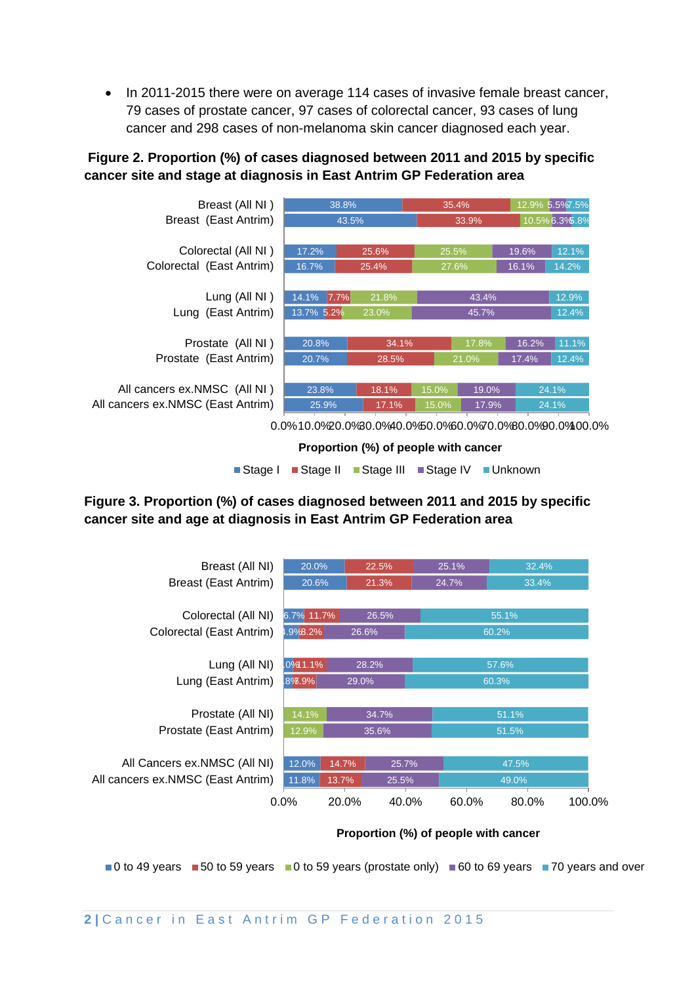• In 2011-2015 there were on average 114 cases of invasive female breast cancer, 79 cases of prostate cancer, 97 cases of colorectal cancer, 93 cases of lung cancer and 298 cases of non-melanoma skin cancer diagnosed each year.

## **Figure 2. Proportion (%) of cases diagnosed between 2011 and 2015 by specific cancer site and stage at diagnosis in East Antrim GP Federation area**



**Proportion (%) of people with cancer** 

■Stage I ■Stage II ■Stage III ■Stage IV ■Unknown

## **Figure 3. Proportion (%) of cases diagnosed between 2011 and 2015 by specific cancer site and age at diagnosis in East Antrim GP Federation area**



#### **Proportion (%) of people with cancer**

 $\Box$  0 to 49 years  $\Box$  50 to 59 years  $\Box$  0 to 59 years (prostate only)  $\Box$  60 to 69 years  $\Box$  70 years and over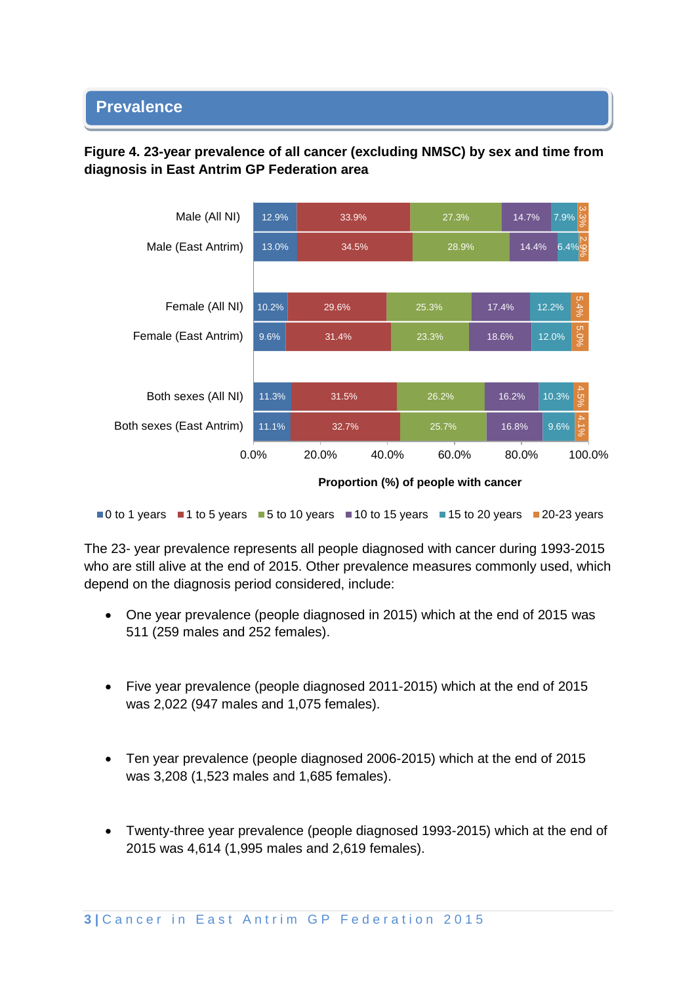#### • **Prevalence**

## **Figure 4. 23-year prevalence of all cancer (excluding NMSC) by sex and time from diagnosis in East Antrim GP Federation area**



**Proportion (%) of people with cancer**

 $\blacksquare$ 0 to 1 years  $\blacksquare$  1 to 5 years  $\blacksquare$  5 to 10 years  $\blacksquare$  10 to 15 years  $\blacksquare$  15 to 20 years  $\blacksquare$  20-23 years

The 23- year prevalence represents all people diagnosed with cancer during 1993-2015 who are still alive at the end of 2015. Other prevalence measures commonly used, which depend on the diagnosis period considered, include:

- One year prevalence (people diagnosed in 2015) which at the end of 2015 was 511 (259 males and 252 females).
- Five year prevalence (people diagnosed 2011-2015) which at the end of 2015 was 2,022 (947 males and 1,075 females).
- Ten year prevalence (people diagnosed 2006-2015) which at the end of 2015 was 3,208 (1,523 males and 1,685 females).
- Twenty-three year prevalence (people diagnosed 1993-2015) which at the end of 2015 was 4,614 (1,995 males and 2,619 females).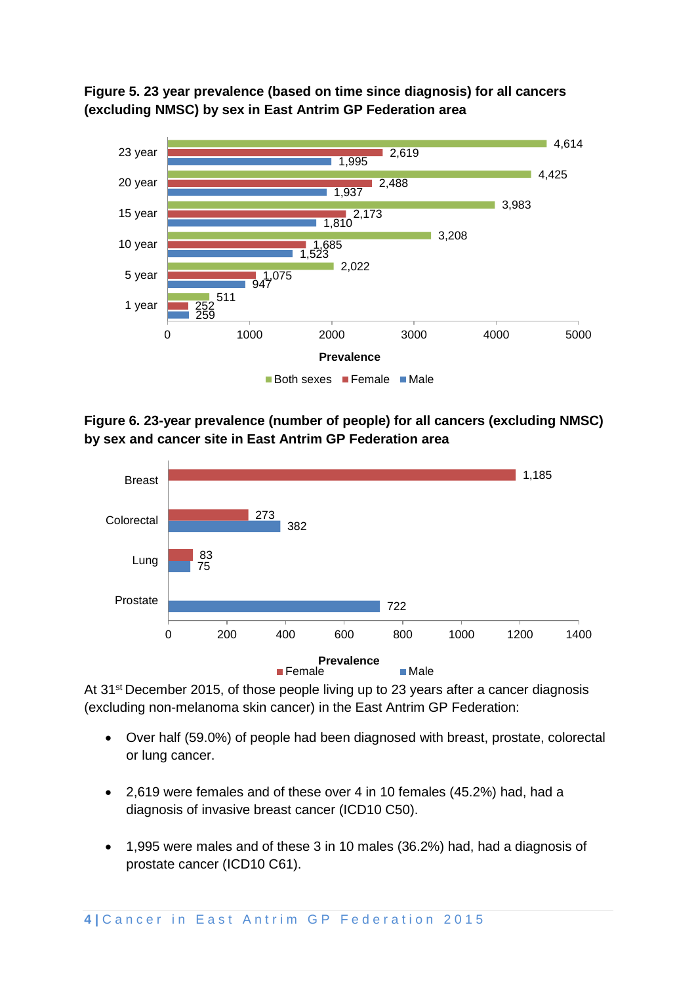



**Figure 6. 23-year prevalence (number of people) for all cancers (excluding NMSC) by sex and cancer site in East Antrim GP Federation area**



At 31<sup>st</sup> December 2015, of those people living up to 23 years after a cancer diagnosis (excluding non-melanoma skin cancer) in the East Antrim GP Federation:

- Over half (59.0%) of people had been diagnosed with breast, prostate, colorectal or lung cancer.
- 2,619 were females and of these over 4 in 10 females (45.2%) had, had a diagnosis of invasive breast cancer (ICD10 C50).
- 1,995 were males and of these 3 in 10 males (36.2%) had, had a diagnosis of prostate cancer (ICD10 C61).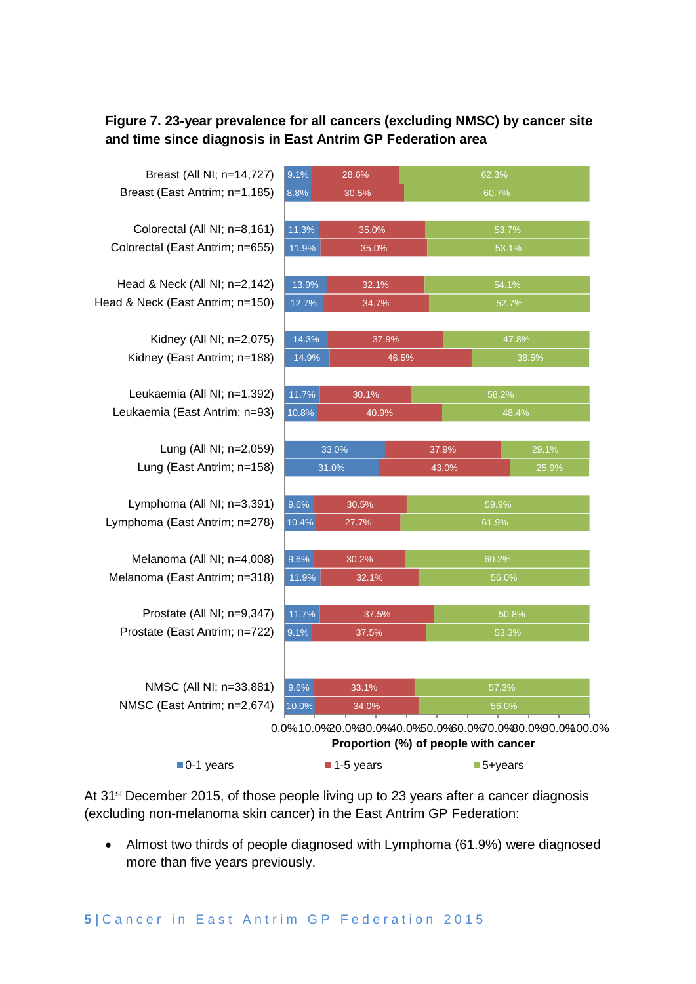## **Figure 7. 23-year prevalence for all cancers (excluding NMSC) by cancer site and time since diagnosis in East Antrim GP Federation area**

Breast (East Antrim; n=1,185) Breast (All NI; n=14,727)

Colorectal (East Antrim; n=655) Colorectal (All NI; n=8,161)

Head & Neck (East Antrim; n=150) Head & Neck (All NI; n=2,142)

> Kidney (East Antrim; n=188) Kidney (All NI; n=2,075)

Leukaemia (East Antrim; n=93) Leukaemia (All NI; n=1,392)

> Lung (East Antrim; n=158) Lung (All NI; n=2,059)

Lymphoma (East Antrim; n=278) Lymphoma (All NI; n=3,391)

Melanoma (East Antrim; n=318) Melanoma (All NI; n=4,008)

Prostate (East Antrim; n=722) Prostate (All NI; n=9,347)

NMSC (East Antrim; n=2,674) NMSC (All NI; n=33,881)

| 9.1%  | 28.6% |       | 62.3% |       |  |
|-------|-------|-------|-------|-------|--|
| 8.8%  | 30.5% |       | 60.7% |       |  |
| 11.3% | 35.0% |       | 53.7% |       |  |
| 11.9% | 35.0% |       | 53.1% |       |  |
| 13.9% | 32.1% |       | 54.1% |       |  |
| 12.7% | 34.7% |       | 52.7% |       |  |
| 14.3% | 37.9% |       | 47.8% |       |  |
| 14.9% |       | 46.5% | 38.5% |       |  |
| 11.7% | 30.1% |       | 58.2% |       |  |
| 10.8% | 40.9% |       | 48.4% |       |  |
|       | 33.0% | 37.9% |       | 29.1% |  |
|       | 31.0% | 43.0% |       | 25.9% |  |
| 9.6%  | 30.5% |       | 59.9% |       |  |
| 10.4% | 27.7% |       | 61.9% |       |  |
| 9.6%  | 30.2% |       | 60.2% |       |  |
| 11.9% | 32.1% |       | 56.0% |       |  |
| 11.7% | 37.5% |       | 50.8% |       |  |
| 9.1%  | 37.5% |       | 53.3% |       |  |
|       |       |       |       |       |  |
| 9.6%  | 33.1% |       | 57.3% |       |  |
|       |       |       |       |       |  |

0.0%10.0%20.0%30.0%40.0%50.0%60.0%70.0%80.0%90.0%100.0% **Proportion (%) of people with cancer**

| $\blacksquare$ 0-1 years | $\blacksquare$ 1-5 years | $\blacksquare$ 5+years |
|--------------------------|--------------------------|------------------------|
|--------------------------|--------------------------|------------------------|

At 31<sup>st</sup> December 2015, of those people living up to 23 years after a cancer diagnosis (excluding non-melanoma skin cancer) in the East Antrim GP Federation:

• Almost two thirds of people diagnosed with Lymphoma (61.9%) were diagnosed more than five years previously.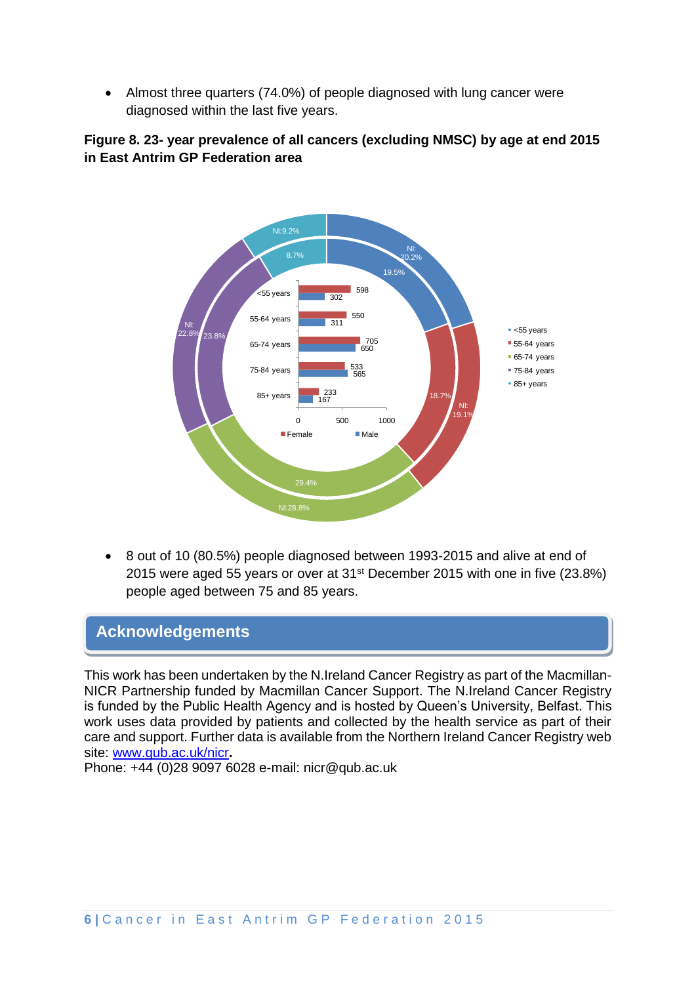• Almost three quarters (74.0%) of people diagnosed with lung cancer were diagnosed within the last five years.

## **Figure 8. 23- year prevalence of all cancers (excluding NMSC) by age at end 2015 in East Antrim GP Federation area**



• 8 out of 10 (80.5%) people diagnosed between 1993-2015 and alive at end of 2015 were aged 55 years or over at 31st December 2015 with one in five (23.8%) people aged between 75 and 85 years.

# **Acknowledgements**

This work has been undertaken by the N.Ireland Cancer Registry as part of the Macmillan-NICR Partnership funded by Macmillan Cancer Support. The N.Ireland Cancer Registry is funded by the Public Health Agency and is hosted by Queen's University, Belfast. This work uses data provided by patients and collected by the health service as part of their care and support. Further data is available from the Northern Ireland Cancer Registry web site: [www.qub.ac.uk/nicr](http://www.qub.ac.uk/nicr)**.** 

Phone: +44 (0)28 9097 6028 e-mail: nicr@qub.ac.uk